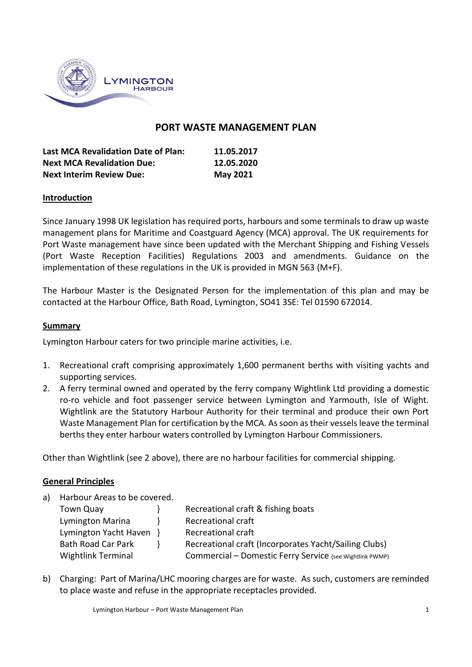

# **PORT WASTE MANAGEMENT PLAN**

| <b>Last MCA Revalidation Date of Plan:</b> | 11.05.2017      |
|--------------------------------------------|-----------------|
| <b>Next MCA Revalidation Due:</b>          | 12.05.2020      |
| <b>Next Interim Review Due:</b>            | <b>May 2021</b> |

#### **Introduction**

Since January 1998 UK legislation has required ports, harbours and some terminals to draw up waste management plans for Maritime and Coastguard Agency (MCA) approval. The UK requirements for Port Waste management have since been updated with the Merchant Shipping and Fishing Vessels (Port Waste Reception Facilities) Regulations 2003 and amendments. Guidance on the implementation of these regulations in the UK is provided in MGN 563 (M+F).

The Harbour Master is the Designated Person for the implementation of this plan and may be contacted at the Harbour Office, Bath Road, Lymington, SO41 3SE: Tel 01590 672014.

#### **Summary**

Lymington Harbour caters for two principle marine activities, i.e.

- 1. Recreational craft comprising approximately 1,600 permanent berths with visiting yachts and supporting services.
- 2. A ferry terminal owned and operated by the ferry company Wightlink Ltd providing a domestic ro-ro vehicle and foot passenger service between Lymington and Yarmouth, Isle of Wight. Wightlink are the Statutory Harbour Authority for their terminal and produce their own Port Waste Management Plan for certification by the MCA. As soon as their vessels leave the terminal berths they enter harbour waters controlled by Lymington Harbour Commissioners.

Other than Wightlink (see 2 above), there are no harbour facilities for commercial shipping.

#### **General Principles**

| Town Quay                 | Recreational craft & fishing boats                       |
|---------------------------|----------------------------------------------------------|
| Lymington Marina          | Recreational craft                                       |
|                           | Recreational craft                                       |
| <b>Bath Road Car Park</b> | Recreational craft (Incorporates Yacht/Sailing Clubs)    |
| <b>Wightlink Terminal</b> | Commercial - Domestic Ferry Service (see Wightlink PWMP) |
|                           | Harbour Areas to be covered.<br>Lymington Yacht Haven }  |

b) Charging: Part of Marina/LHC mooring charges are for waste. As such, customers are reminded to place waste and refuse in the appropriate receptacles provided.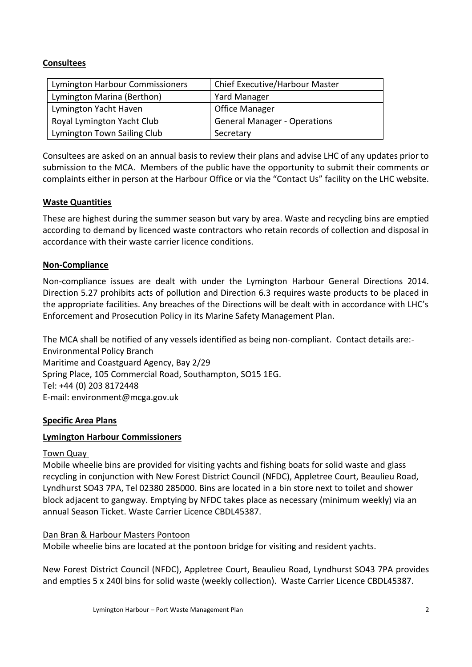# **Consultees**

| Lymington Harbour Commissioners | Chief Executive/Harbour Master      |
|---------------------------------|-------------------------------------|
| Lymington Marina (Berthon)      | Yard Manager                        |
| Lymington Yacht Haven           | <b>Office Manager</b>               |
| Royal Lymington Yacht Club      | <b>General Manager - Operations</b> |
| Lymington Town Sailing Club     | Secretary                           |

Consultees are asked on an annual basis to review their plans and advise LHC of any updates prior to submission to the MCA. Members of the public have the opportunity to submit their comments or complaints either in person at the Harbour Office or via the "Contact Us" facility on the LHC website.

# **Waste Quantities**

These are highest during the summer season but vary by area. Waste and recycling bins are emptied according to demand by licenced waste contractors who retain records of collection and disposal in accordance with their waste carrier licence conditions.

# **Non-Compliance**

Non-compliance issues are dealt with under the Lymington Harbour General Directions 2014. Direction 5.27 prohibits acts of pollution and Direction 6.3 requires waste products to be placed in the appropriate facilities. Any breaches of the Directions will be dealt with in accordance with LHC's Enforcement and Prosecution Policy in its Marine Safety Management Plan.

The MCA shall be notified of any vessels identified as being non-compliant. Contact details are:- Environmental Policy Branch Maritime and Coastguard Agency, Bay 2/29 Spring Place, 105 Commercial Road, Southampton, SO15 1EG. Tel: +44 (0) 203 8172448 E-mail: environment@mcga.gov.uk

# **Specific Area Plans**

# **Lymington Harbour Commissioners**

### Town Quay

Mobile wheelie bins are provided for visiting yachts and fishing boats for solid waste and glass recycling in conjunction with New Forest District Council (NFDC), Appletree Court, Beaulieu Road, Lyndhurst SO43 7PA, Tel 02380 285000. Bins are located in a bin store next to toilet and shower block adjacent to gangway. Emptying by NFDC takes place as necessary (minimum weekly) via an annual Season Ticket. Waste Carrier Licence CBDL45387.

### Dan Bran & Harbour Masters Pontoon

Mobile wheelie bins are located at the pontoon bridge for visiting and resident yachts.

New Forest District Council (NFDC), Appletree Court, Beaulieu Road, Lyndhurst SO43 7PA provides and empties 5 x 240l bins for solid waste (weekly collection). Waste Carrier Licence CBDL45387.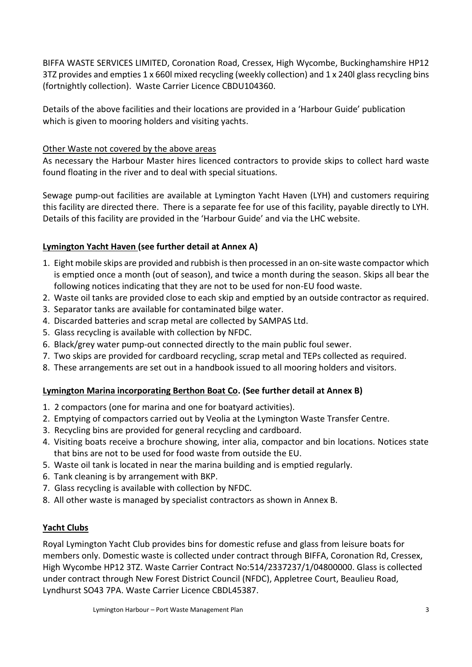BIFFA WASTE SERVICES LIMITED, Coronation Road, Cressex, High Wycombe, Buckinghamshire HP12 3TZ provides and empties 1 x 660l mixed recycling (weekly collection) and 1 x 240l glassrecycling bins (fortnightly collection). Waste Carrier Licence CBDU104360.

Details of the above facilities and their locations are provided in a 'Harbour Guide' publication which is given to mooring holders and visiting yachts.

# Other Waste not covered by the above areas

As necessary the Harbour Master hires licenced contractors to provide skips to collect hard waste found floating in the river and to deal with special situations.

Sewage pump-out facilities are available at Lymington Yacht Haven (LYH) and customers requiring this facility are directed there. There is a separate fee for use of this facility, payable directly to LYH. Details of this facility are provided in the 'Harbour Guide' and via the LHC website.

# **Lymington Yacht Haven (see further detail at Annex A)**

- 1. Eight mobile skips are provided and rubbish is then processed in an on-site waste compactor which is emptied once a month (out of season), and twice a month during the season. Skips all bear the following notices indicating that they are not to be used for non-EU food waste.
- 2. Waste oil tanks are provided close to each skip and emptied by an outside contractor as required.
- 3. Separator tanks are available for contaminated bilge water.
- 4. Discarded batteries and scrap metal are collected by SAMPAS Ltd.
- 5. Glass recycling is available with collection by NFDC.
- 6. Black/grey water pump-out connected directly to the main public foul sewer.
- 7. Two skips are provided for cardboard recycling, scrap metal and TEPs collected as required.
- 8. These arrangements are set out in a handbook issued to all mooring holders and visitors.

# **Lymington Marina incorporating Berthon Boat Co. (See further detail at Annex B)**

- 1. 2 compactors (one for marina and one for boatyard activities).
- 2. Emptying of compactors carried out by Veolia at the Lymington Waste Transfer Centre.
- 3. Recycling bins are provided for general recycling and cardboard.
- 4. Visiting boats receive a brochure showing, inter alia, compactor and bin locations. Notices state that bins are not to be used for food waste from outside the EU.
- 5. Waste oil tank is located in near the marina building and is emptied regularly.
- 6. Tank cleaning is by arrangement with BKP.
- 7. Glass recycling is available with collection by NFDC.
- 8. All other waste is managed by specialist contractors as shown in Annex B.

# **Yacht Clubs**

Royal Lymington Yacht Club provides bins for domestic refuse and glass from leisure boats for members only. Domestic waste is collected under contract through BIFFA, Coronation Rd, Cressex, High Wycombe HP12 3TZ. Waste Carrier Contract No:514/2337237/1/04800000. Glass is collected under contract through New Forest District Council (NFDC), Appletree Court, Beaulieu Road, Lyndhurst SO43 7PA. Waste Carrier Licence CBDL45387.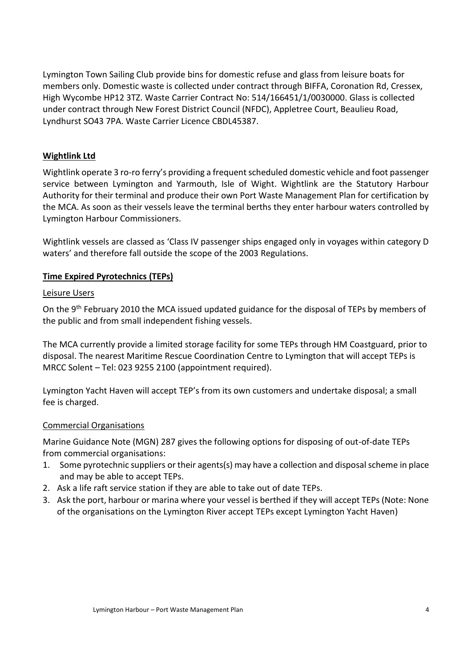Lymington Town Sailing Club provide bins for domestic refuse and glass from leisure boats for members only. Domestic waste is collected under contract through BIFFA, Coronation Rd, Cressex, High Wycombe HP12 3TZ. Waste Carrier Contract No: 514/166451/1/0030000. Glass is collected under contract through New Forest District Council (NFDC), Appletree Court, Beaulieu Road, Lyndhurst SO43 7PA. Waste Carrier Licence CBDL45387.

### **Wightlink Ltd**

Wightlink operate 3 ro-ro ferry's providing a frequent scheduled domestic vehicle and foot passenger service between Lymington and Yarmouth, Isle of Wight. Wightlink are the Statutory Harbour Authority for their terminal and produce their own Port Waste Management Plan for certification by the MCA. As soon as their vessels leave the terminal berths they enter harbour waters controlled by Lymington Harbour Commissioners.

Wightlink vessels are classed as 'Class IV passenger ships engaged only in voyages within category D waters' and therefore fall outside the scope of the 2003 Regulations.

# **Time Expired Pyrotechnics (TEPs)**

#### Leisure Users

On the 9<sup>th</sup> February 2010 the MCA issued updated guidance for the disposal of TEPs by members of the public and from small independent fishing vessels.

The MCA currently provide a limited storage facility for some TEPs through HM Coastguard, prior to disposal. The nearest Maritime Rescue Coordination Centre to Lymington that will accept TEPs is MRCC Solent – Tel: 023 9255 2100 (appointment required).

Lymington Yacht Haven will accept TEP's from its own customers and undertake disposal; a small fee is charged.

### Commercial Organisations

Marine Guidance Note (MGN) 287 gives the following options for disposing of out-of-date TEPs from commercial organisations:

- 1. Some pyrotechnic suppliers or their agents(s) may have a collection and disposal scheme in place and may be able to accept TEPs.
- 2. Ask a life raft service station if they are able to take out of date TEPs.
- 3. Ask the port, harbour or marina where your vessel is berthed if they will accept TEPs (Note: None of the organisations on the Lymington River accept TEPs except Lymington Yacht Haven)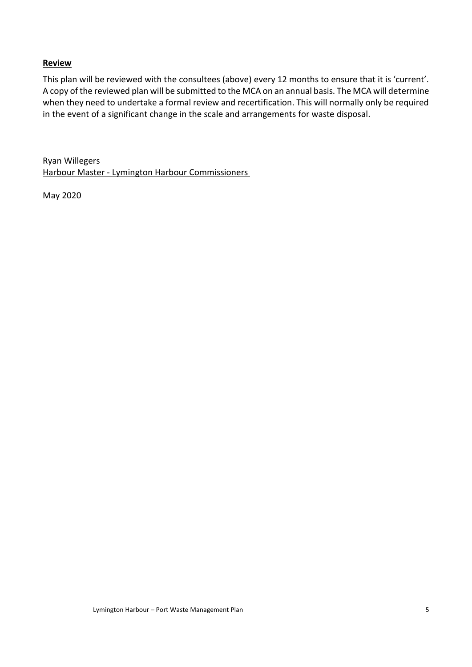### **Review**

This plan will be reviewed with the consultees (above) every 12 months to ensure that it is 'current'. A copy of the reviewed plan will be submitted to the MCA on an annual basis. The MCA will determine when they need to undertake a formal review and recertification. This will normally only be required in the event of a significant change in the scale and arrangements for waste disposal.

Ryan Willegers Harbour Master - Lymington Harbour Commissioners

May 2020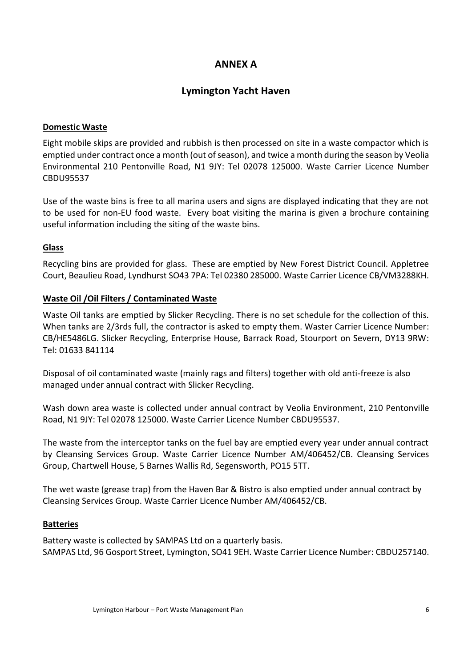# **ANNEX A**

# **Lymington Yacht Haven**

# **Domestic Waste**

Eight mobile skips are provided and rubbish is then processed on site in a waste compactor which is emptied under contract once a month (out of season), and twice a month during the season by Veolia Environmental 210 Pentonville Road, N1 9JY: Tel 02078 125000. Waste Carrier Licence Number CBDU95537

Use of the waste bins is free to all marina users and signs are displayed indicating that they are not to be used for non-EU food waste. Every boat visiting the marina is given a brochure containing useful information including the siting of the waste bins.

# **Glass**

Recycling bins are provided for glass. These are emptied by New Forest District Council. Appletree Court, Beaulieu Road, Lyndhurst SO43 7PA: Tel 02380 285000. Waste Carrier Licence CB/VM3288KH.

# **Waste Oil /Oil Filters / Contaminated Waste**

Waste Oil tanks are emptied by Slicker Recycling. There is no set schedule for the collection of this. When tanks are 2/3rds full, the contractor is asked to empty them. Waster Carrier Licence Number: CB/HE5486LG. Slicker Recycling, Enterprise House, Barrack Road, Stourport on Severn, DY13 9RW: Tel: 01633 841114

Disposal of oil contaminated waste (mainly rags and filters) together with old anti-freeze is also managed under annual contract with Slicker Recycling.

Wash down area waste is collected under annual contract by Veolia Environment, 210 Pentonville Road, N1 9JY: Tel 02078 125000. Waste Carrier Licence Number CBDU95537.

The waste from the interceptor tanks on the fuel bay are emptied every year under annual contract by Cleansing Services Group. Waste Carrier Licence Number AM/406452/CB. Cleansing Services Group, Chartwell House, 5 Barnes Wallis Rd, Segensworth, PO15 5TT.

The wet waste (grease trap) from the Haven Bar & Bistro is also emptied under annual contract by Cleansing Services Group. Waste Carrier Licence Number AM/406452/CB.

### **Batteries**

Battery waste is collected by SAMPAS Ltd on a quarterly basis. SAMPAS Ltd, 96 Gosport Street, Lymington, SO41 9EH. Waste Carrier Licence Number: CBDU257140.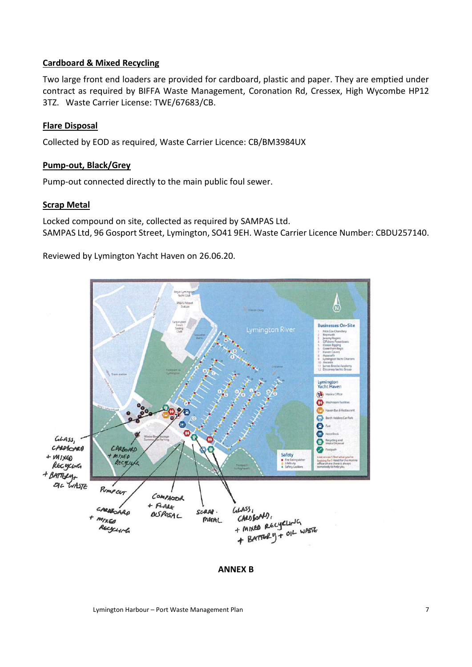### **Cardboard & Mixed Recycling**

Two large front end loaders are provided for cardboard, plastic and paper. They are emptied under contract as required by BIFFA Waste Management, Coronation Rd, Cressex, High Wycombe HP12 3TZ. Waste Carrier License: TWE/67683/CB.

#### **Flare Disposal**

Collected by EOD as required, Waste Carrier Licence: CB/BM3984UX

#### **Pump-out, Black/Grey**

Pump-out connected directly to the main public foul sewer.

#### **Scrap Metal**

Locked compound on site, collected as required by SAMPAS Ltd. SAMPAS Ltd, 96 Gosport Street, Lymington, SO41 9EH. Waste Carrier Licence Number: CBDU257140.

Reviewed by Lymington Yacht Haven on 26.06.20.



#### **ANNEX B**

Lymington Harbour – Port Waste Management Plan 7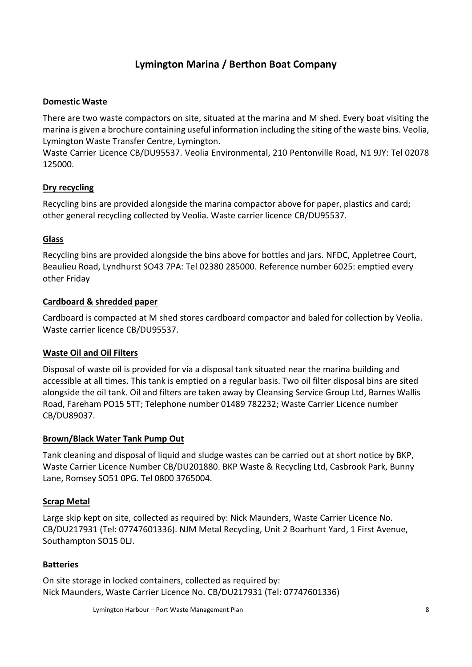# **Lymington Marina / Berthon Boat Company**

# **Domestic Waste**

There are two waste compactors on site, situated at the marina and M shed. Every boat visiting the marina is given a brochure containing useful information including the siting of the waste bins. Veolia, Lymington Waste Transfer Centre, Lymington.

Waste Carrier Licence CB/DU95537. Veolia Environmental, 210 Pentonville Road, N1 9JY: Tel 02078 125000.

# **Dry recycling**

Recycling bins are provided alongside the marina compactor above for paper, plastics and card; other general recycling collected by Veolia. Waste carrier licence CB/DU95537.

# **Glass**

Recycling bins are provided alongside the bins above for bottles and jars. NFDC, Appletree Court, Beaulieu Road, Lyndhurst SO43 7PA: Tel 02380 285000. Reference number 6025: emptied every other Friday

# **Cardboard & shredded paper**

Cardboard is compacted at M shed stores cardboard compactor and baled for collection by Veolia. Waste carrier licence CB/DU95537.

### **Waste Oil and Oil Filters**

Disposal of waste oil is provided for via a disposal tank situated near the marina building and accessible at all times. This tank is emptied on a regular basis. Two oil filter disposal bins are sited alongside the oil tank. Oil and filters are taken away by Cleansing Service Group Ltd, Barnes Wallis Road, Fareham PO15 5TT; Telephone number 01489 782232; Waste Carrier Licence number CB/DU89037.

### **Brown/Black Water Tank Pump Out**

Tank cleaning and disposal of liquid and sludge wastes can be carried out at short notice by BKP, Waste Carrier Licence Number CB/DU201880. BKP Waste & Recycling Ltd, Casbrook Park, Bunny Lane, Romsey SO51 0PG. Tel 0800 3765004.

### **Scrap Metal**

Large skip kept on site, collected as required by: Nick Maunders, Waste Carrier Licence No. CB/DU217931 (Tel: 07747601336). NJM Metal Recycling, Unit 2 Boarhunt Yard, 1 First Avenue, Southampton SO15 0LJ.

### **Batteries**

On site storage in locked containers, collected as required by: Nick Maunders, Waste Carrier Licence No. CB/DU217931 (Tel: 07747601336)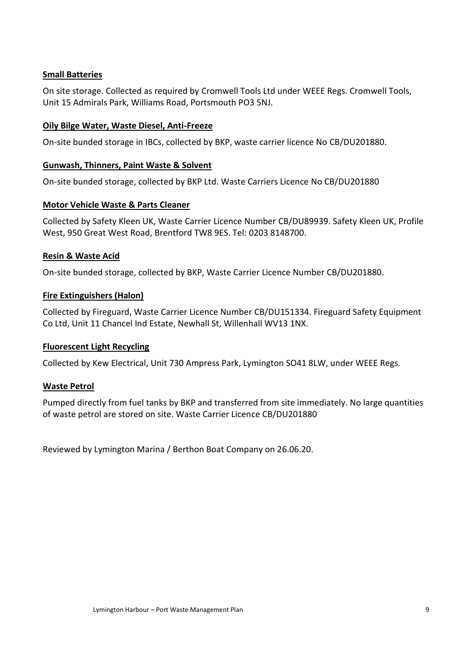# **Small Batteries**

On site storage. Collected as required by Cromwell Tools Ltd under WEEE Regs. Cromwell Tools, Unit 15 Admirals Park, Williams Road, Portsmouth PO3 5NJ.

# **Oily Bilge Water, Waste Diesel, Anti-Freeze**

On-site bunded storage in IBCs, collected by BKP, waste carrier licence No CB/DU201880.

### **Gunwash, Thinners, Paint Waste & Solvent**

On-site bunded storage, collected by BKP Ltd. Waste Carriers Licence No CB/DU201880

# **Motor Vehicle Waste & Parts Cleaner**

Collected by Safety Kleen UK, Waste Carrier Licence Number CB/DU89939. Safety Kleen UK, Profile West, 950 Great West Road, Brentford TW8 9ES. Tel: 0203 8148700.

# **Resin & Waste Acid**

On-site bunded storage, collected by BKP, Waste Carrier Licence Number CB/DU201880.

# **Fire Extinguishers (Halon)**

Collected by Fireguard, Waste Carrier Licence Number CB/DU151334. Fireguard Safety Equipment Co Ltd, Unit 11 Chancel Ind Estate, Newhall St, Willenhall WV13 1NX.

### **Fluorescent Light Recycling**

Collected by Kew Electrical, Unit 730 Ampress Park, Lymington SO41 8LW, under WEEE Regs.

### **Waste Petrol**

Pumped directly from fuel tanks by BKP and transferred from site immediately. No large quantities of waste petrol are stored on site. Waste Carrier Licence CB/DU201880

Reviewed by Lymington Marina / Berthon Boat Company on 26.06.20.